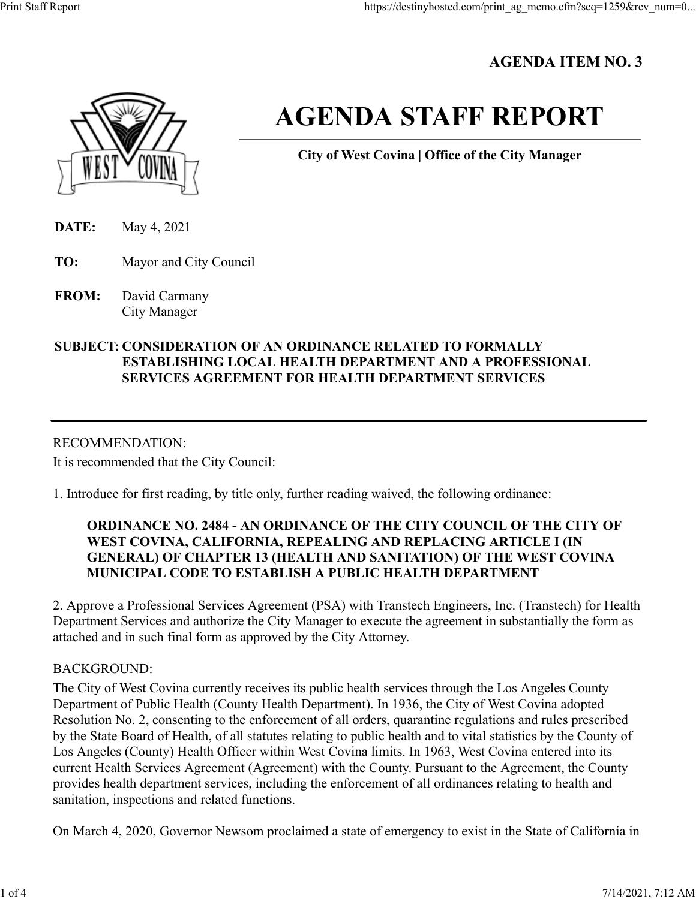# **AGENDA ITEM NO. 3**



# **AGENDA STAFF REPORT**

**City of West Covina | Office of the City Manager**

**DATE:** May 4, 2021

**TO:** Mayor and City Council

**FROM:** David Carmany City Manager

# **SUBJECT: CONSIDERATION OF AN ORDINANCE RELATED TO FORMALLY ESTABLISHING LOCAL HEALTH DEPARTMENT AND A PROFESSIONAL SERVICES AGREEMENT FOR HEALTH DEPARTMENT SERVICES**

# RECOMMENDATION:

It is recommended that the City Council:

1. Introduce for first reading, by title only, further reading waived, the following ordinance:

# **ORDINANCE NO. 2484 - AN ORDINANCE OF THE CITY COUNCIL OF THE CITY OF WEST COVINA, CALIFORNIA, REPEALING AND REPLACING ARTICLE I (IN GENERAL) OF CHAPTER 13 (HEALTH AND SANITATION) OF THE WEST COVINA MUNICIPAL CODE TO ESTABLISH A PUBLIC HEALTH DEPARTMENT**

2. Approve a Professional Services Agreement (PSA) with Transtech Engineers, Inc. (Transtech) for Health Department Services and authorize the City Manager to execute the agreement in substantially the form as attached and in such final form as approved by the City Attorney.

# BACKGROUND:

The City of West Covina currently receives its public health services through the Los Angeles County Department of Public Health (County Health Department). In 1936, the City of West Covina adopted Resolution No. 2, consenting to the enforcement of all orders, quarantine regulations and rules prescribed by the State Board of Health, of all statutes relating to public health and to vital statistics by the County of Los Angeles (County) Health Officer within West Covina limits. In 1963, West Covina entered into its current Health Services Agreement (Agreement) with the County. Pursuant to the Agreement, the County provides health department services, including the enforcement of all ordinances relating to health and sanitation, inspections and related functions.

On March 4, 2020, Governor Newsom proclaimed a state of emergency to exist in the State of California in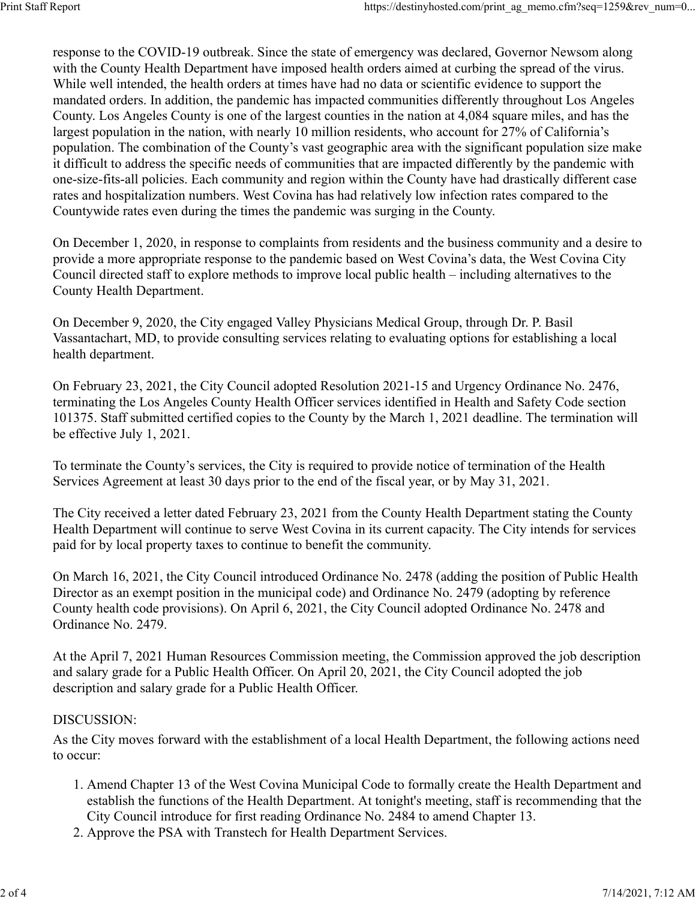response to the COVID-19 outbreak. Since the state of emergency was declared, Governor Newsom along with the County Health Department have imposed health orders aimed at curbing the spread of the virus. While well intended, the health orders at times have had no data or scientific evidence to support the mandated orders. In addition, the pandemic has impacted communities differently throughout Los Angeles County. Los Angeles County is one of the largest counties in the nation at 4,084 square miles, and has the largest population in the nation, with nearly 10 million residents, who account for 27% of California's population. The combination of the County's vast geographic area with the significant population size make it difficult to address the specific needs of communities that are impacted differently by the pandemic with one-size-fits-all policies. Each community and region within the County have had drastically different case rates and hospitalization numbers. West Covina has had relatively low infection rates compared to the Countywide rates even during the times the pandemic was surging in the County.

On December 1, 2020, in response to complaints from residents and the business community and a desire to provide a more appropriate response to the pandemic based on West Covina's data, the West Covina City Council directed staff to explore methods to improve local public health – including alternatives to the County Health Department.

On December 9, 2020, the City engaged Valley Physicians Medical Group, through Dr. P. Basil Vassantachart, MD, to provide consulting services relating to evaluating options for establishing a local health department.

On February 23, 2021, the City Council adopted Resolution 2021-15 and Urgency Ordinance No. 2476, terminating the Los Angeles County Health Officer services identified in Health and Safety Code section 101375. Staff submitted certified copies to the County by the March 1, 2021 deadline. The termination will be effective July 1, 2021.

To terminate the County's services, the City is required to provide notice of termination of the Health Services Agreement at least 30 days prior to the end of the fiscal year, or by May 31, 2021.

The City received a letter dated February 23, 2021 from the County Health Department stating the County Health Department will continue to serve West Covina in its current capacity. The City intends for services paid for by local property taxes to continue to benefit the community.

On March 16, 2021, the City Council introduced Ordinance No. 2478 (adding the position of Public Health Director as an exempt position in the municipal code) and Ordinance No. 2479 (adopting by reference County health code provisions). On April 6, 2021, the City Council adopted Ordinance No. 2478 and Ordinance No. 2479.

At the April 7, 2021 Human Resources Commission meeting, the Commission approved the job description and salary grade for a Public Health Officer. On April 20, 2021, the City Council adopted the job description and salary grade for a Public Health Officer.

#### DISCUSSION:

As the City moves forward with the establishment of a local Health Department, the following actions need to occur:

- 1. Amend Chapter 13 of the West Covina Municipal Code to formally create the Health Department and establish the functions of the Health Department. At tonight's meeting, staff is recommending that the City Council introduce for first reading Ordinance No. 2484 to amend Chapter 13.
- 2. Approve the PSA with Transtech for Health Department Services.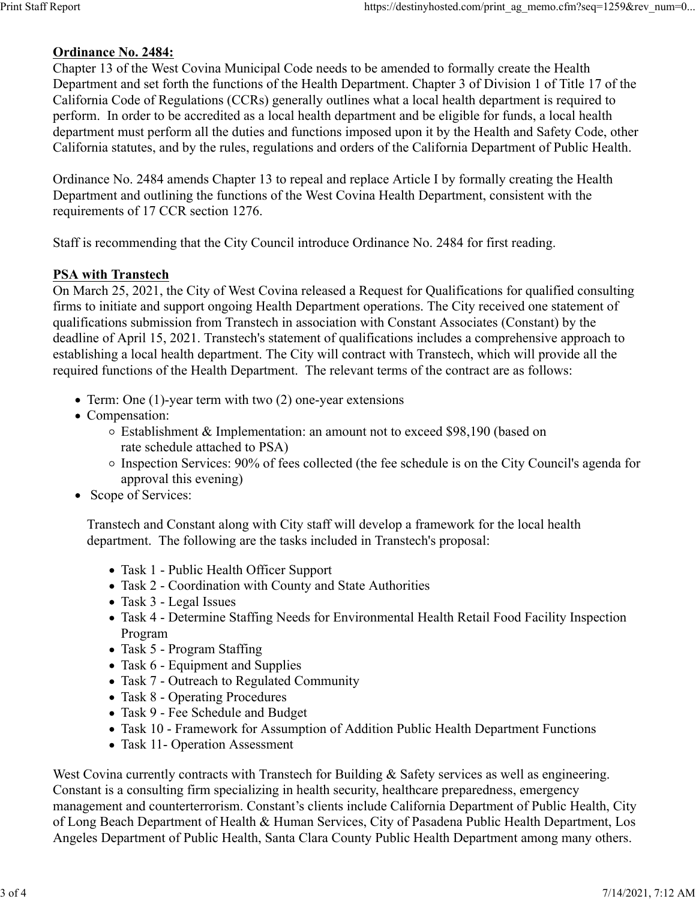### **Ordinance No. 2484:**

Chapter 13 of the West Covina Municipal Code needs to be amended to formally create the Health Department and set forth the functions of the Health Department. Chapter 3 of Division 1 of Title 17 of the California Code of Regulations (CCRs) generally outlines what a local health department is required to perform. In order to be accredited as a local health department and be eligible for funds, a local health department must perform all the duties and functions imposed upon it by the Health and Safety Code, other California statutes, and by the rules, regulations and orders of the California Department of Public Health.

Ordinance No. 2484 amends Chapter 13 to repeal and replace Article I by formally creating the Health Department and outlining the functions of the West Covina Health Department, consistent with the requirements of 17 CCR section 1276.

Staff is recommending that the City Council introduce Ordinance No. 2484 for first reading.

## **PSA with Transtech**

On March 25, 2021, the City of West Covina released a Request for Qualifications for qualified consulting firms to initiate and support ongoing Health Department operations. The City received one statement of qualifications submission from Transtech in association with Constant Associates (Constant) by the deadline of April 15, 2021. Transtech's statement of qualifications includes a comprehensive approach to establishing a local health department. The City will contract with Transtech, which will provide all the required functions of the Health Department. The relevant terms of the contract are as follows:

- Term: One (1)-year term with two (2) one-year extensions
- Compensation:
	- $\circ$  Establishment & Implementation: an amount not to exceed \$98,190 (based on rate schedule attached to PSA)
	- Inspection Services: 90% of fees collected (the fee schedule is on the City Council's agenda for approval this evening)
- Scope of Services:

Transtech and Constant along with City staff will develop a framework for the local health department. The following are the tasks included in Transtech's proposal:

- Task 1 Public Health Officer Support
- Task 2 Coordination with County and State Authorities
- Task 3 Legal Issues
- Task 4 Determine Staffing Needs for Environmental Health Retail Food Facility Inspection Program
- Task 5 Program Staffing
- Task 6 Equipment and Supplies
- Task 7 Outreach to Regulated Community
- Task 8 Operating Procedures
- Task 9 Fee Schedule and Budget
- Task 10 Framework for Assumption of Addition Public Health Department Functions
- Task 11- Operation Assessment

West Covina currently contracts with Transtech for Building & Safety services as well as engineering. Constant is a consulting firm specializing in health security, healthcare preparedness, emergency management and counterterrorism. Constant's clients include California Department of Public Health, City of Long Beach Department of Health & Human Services, City of Pasadena Public Health Department, Los Angeles Department of Public Health, Santa Clara County Public Health Department among many others.